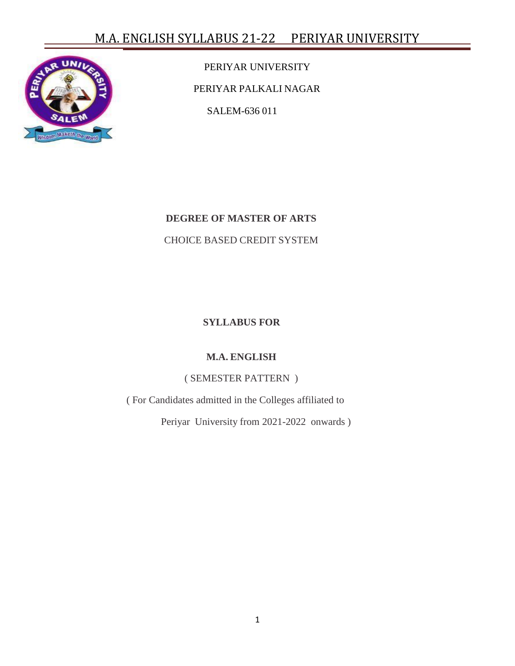# M.A. ENGLISH SYLLABUS 21-22 PERIYAR UNIVERSITY



PERIYAR UNIVERSITY PERIYAR PALKALI NAGAR SALEM-636 011

### **DEGREE OF MASTER OF ARTS**

### CHOICE BASED CREDIT SYSTEM

### **SYLLABUS FOR**

## **M.A. ENGLISH**

#### ( SEMESTER PATTERN )

( For Candidates admitted in the Colleges affiliated to

Periyar University from 2021-2022 onwards )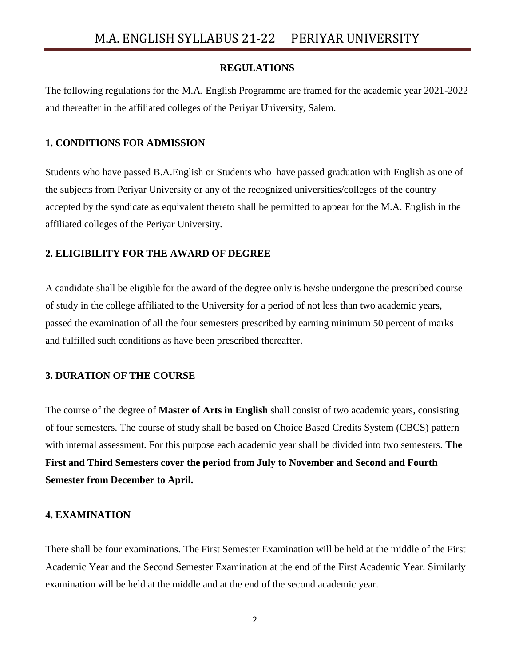#### **REGULATIONS**

The following regulations for the M.A. English Programme are framed for the academic year 2021-2022 and thereafter in the affiliated colleges of the Periyar University, Salem.

#### **1. CONDITIONS FOR ADMISSION**

Students who have passed B.A.English or Students who have passed graduation with English as one of the subjects from Periyar University or any of the recognized universities/colleges of the country accepted by the syndicate as equivalent thereto shall be permitted to appear for the M.A. English in the affiliated colleges of the Periyar University.

### **2. ELIGIBILITY FOR THE AWARD OF DEGREE**

A candidate shall be eligible for the award of the degree only is he/she undergone the prescribed course of study in the college affiliated to the University for a period of not less than two academic years, passed the examination of all the four semesters prescribed by earning minimum 50 percent of marks and fulfilled such conditions as have been prescribed thereafter.

#### **3. DURATION OF THE COURSE**

The course of the degree of **Master of Arts in English** shall consist of two academic years, consisting of four semesters. The course of study shall be based on Choice Based Credits System (CBCS) pattern with internal assessment. For this purpose each academic year shall be divided into two semesters. **The First and Third Semesters cover the period from July to November and Second and Fourth Semester from December to April.**

#### **4. EXAMINATION**

There shall be four examinations. The First Semester Examination will be held at the middle of the First Academic Year and the Second Semester Examination at the end of the First Academic Year. Similarly examination will be held at the middle and at the end of the second academic year.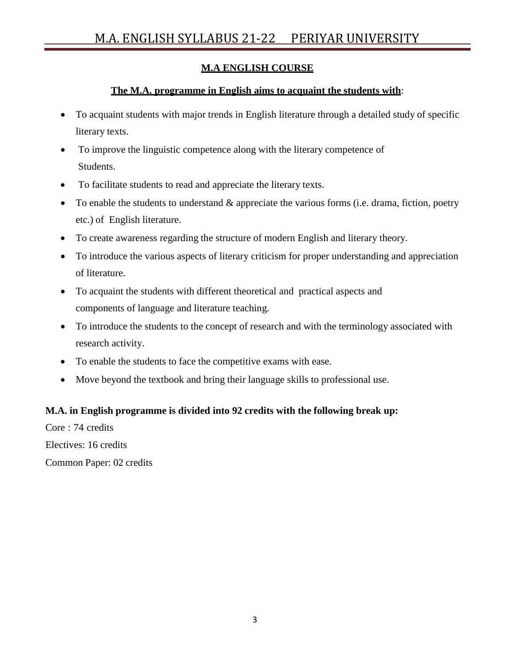## **M.A ENGLISH COURSE**

## **The M.A. programme in English aims to acquaint the students with**:

- To acquaint students with major trends in English literature through a detailed study of specific literary texts.
- To improve the linguistic competence along with the literary competence of Students.
- To facilitate students to read and appreciate the literary texts.
- $\bullet$  To enable the students to understand  $\&$  appreciate the various forms (i.e. drama, fiction, poetry etc.) of English literature.
- To create awareness regarding the structure of modern English and literary theory.
- To introduce the various aspects of literary criticism for proper understanding and appreciation of literature.
- To acquaint the students with different theoretical and practical aspects and components of language and literature teaching.
- To introduce the students to the concept of research and with the terminology associated with research activity.
- To enable the students to face the competitive exams with ease.
- Move beyond the textbook and bring their language skills to professional use.

#### **M.A. in English programme is divided into 92 credits with the following break up:**

Core : 74 credits Electives: 16 credits Common Paper: 02 credits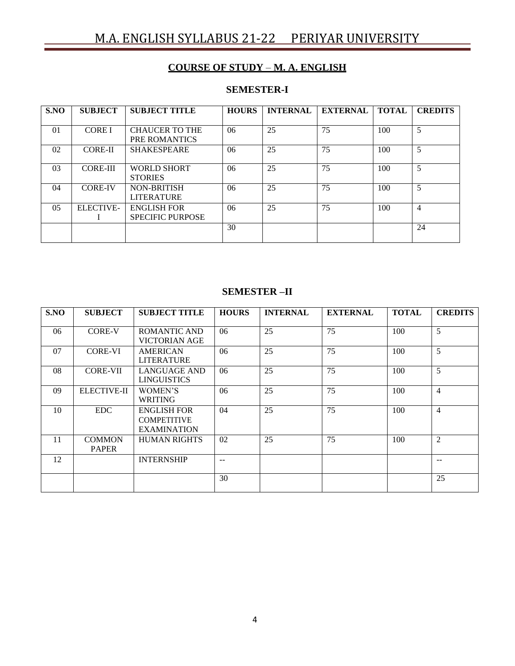# M.A. ENGLISH SYLLABUS 21-22 PERIYAR UNIVERSITY

## **COURSE OF STUDY** – **M. A. ENGLISH**

## **SEMESTER-I**

| S.NO           | <b>SUBJECT</b>   | <b>SUBJECT TITLE</b>    | <b>HOURS</b> | <b>INTERNAL</b> | <b>EXTERNAL</b> | <b>TOTAL</b> | <b>CREDITS</b> |
|----------------|------------------|-------------------------|--------------|-----------------|-----------------|--------------|----------------|
|                |                  |                         |              |                 |                 |              |                |
| 01             | <b>CORE I</b>    | <b>CHAUCER TO THE</b>   | 06           | 25              | 75              | 100          | 5              |
|                |                  | PRE ROMANTICS           |              |                 |                 |              |                |
| 02             | <b>CORE-II</b>   | <b>SHAKESPEARE</b>      | 06           | 25              | 75              | 100          | 5              |
|                |                  |                         |              |                 |                 |              |                |
| 03             | <b>CORE-III</b>  | <b>WORLD SHORT</b>      | 06           | 25              | 75              | 100          | 5              |
|                |                  | <b>STORIES</b>          |              |                 |                 |              |                |
| 04             | <b>CORE-IV</b>   | <b>NON-BRITISH</b>      | 06           | 25              | 75              | 100          | 5              |
|                |                  | <b>LITERATURE</b>       |              |                 |                 |              |                |
| 0 <sub>5</sub> | <b>ELECTIVE-</b> | <b>ENGLISH FOR</b>      | 06           | 25              | 75              | 100          | $\overline{4}$ |
|                |                  | <b>SPECIFIC PURPOSE</b> |              |                 |                 |              |                |
|                |                  |                         | 30           |                 |                 |              | 24             |
|                |                  |                         |              |                 |                 |              |                |

#### **SEMESTER –II**

| S.NO | <b>SUBJECT</b>                | <b>SUBJECT TITLE</b>                                           | <b>HOURS</b> | <b>INTERNAL</b> | <b>EXTERNAL</b> | <b>TOTAL</b> | <b>CREDITS</b> |
|------|-------------------------------|----------------------------------------------------------------|--------------|-----------------|-----------------|--------------|----------------|
| 06   | <b>CORE-V</b>                 | ROMANTIC AND<br>VICTORIAN AGE                                  | 06           | 25              | 75              | 100          | 5              |
| 07   | <b>CORE-VI</b>                | <b>AMERICAN</b><br><b>LITERATURE</b>                           | 06           | 25              | 75              | 100          | 5              |
| 08   | <b>CORE-VII</b>               | LANGUAGE AND<br><b>LINGUISTICS</b>                             | 06           | 25              | 75              | 100          | 5              |
| 09   | <b>ELECTIVE-II</b>            | WOMEN'S<br><b>WRITING</b>                                      | 06           | 25              | 75              | 100          | $\overline{4}$ |
| 10   | <b>EDC</b>                    | <b>ENGLISH FOR</b><br><b>COMPETITIVE</b><br><b>EXAMINATION</b> | 04           | 25              | 75              | 100          | $\overline{4}$ |
| 11   | <b>COMMON</b><br><b>PAPER</b> | <b>HUMAN RIGHTS</b>                                            | 02           | 25              | 75              | 100          | $\overline{2}$ |
| 12   |                               | <b>INTERNSHIP</b>                                              | $-$          |                 |                 |              | --             |
|      |                               |                                                                | 30           |                 |                 |              | 25             |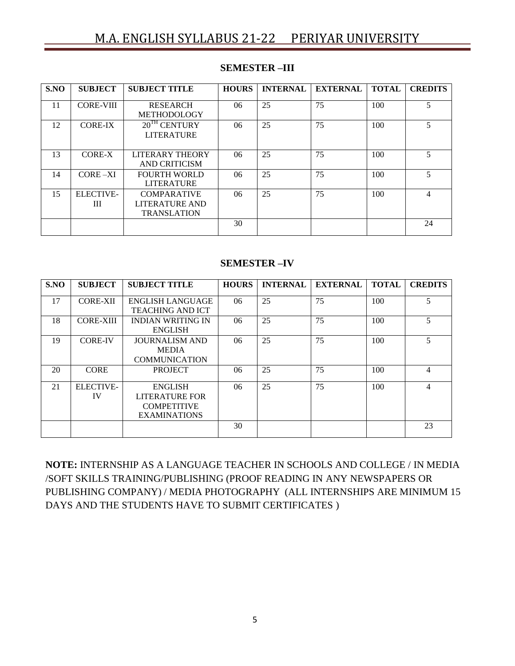| S.NO | <b>SUBJECT</b>        | <b>SUBJECT TITLE</b>                                       | <b>HOURS</b> | <b>INTERNAL</b> | <b>EXTERNAL</b> | <b>TOTAL</b> | <b>CREDITS</b> |
|------|-----------------------|------------------------------------------------------------|--------------|-----------------|-----------------|--------------|----------------|
| 11   | <b>CORE-VIII</b>      | <b>RESEARCH</b><br><b>METHODOLOGY</b>                      | 06           | 25              | 75              | 100          | 5              |
| 12   | <b>CORE-IX</b>        | $20^{TH}$ CENTURY<br><b>LITERATURE</b>                     | 06           | 25              | 75              | 100          | 5              |
| 13   | CORE-X                | <b>LITERARY THEORY</b><br>AND CRITICISM                    | 06           | 25              | 75              | 100          | 5              |
| 14   | $CORE-XI$             | <b>FOURTH WORLD</b><br><b>LITERATURE</b>                   | 06           | 25              | 75              | 100          | 5              |
| 15   | <b>ELECTIVE-</b><br>Ш | <b>COMPARATIVE</b><br>LITERATURE AND<br><b>TRANSLATION</b> | 06           | 25              | 75              | 100          | 4              |
|      |                       |                                                            | 30           |                 |                 |              | 24             |

### **SEMESTER –III**

#### **SEMESTER –IV**

| S.NO | <b>SUBJECT</b>         | <b>SUBJECT TITLE</b>                                                          | <b>HOURS</b> | <b>INTERNAL</b> | <b>EXTERNAL</b> | <b>TOTAL</b> | <b>CREDITS</b> |
|------|------------------------|-------------------------------------------------------------------------------|--------------|-----------------|-----------------|--------------|----------------|
| 17   | <b>CORE-XII</b>        | <b>ENGLISH LANGUAGE</b><br><b>TEACHING AND ICT</b>                            | 06           | 25              | 75              | 100          | 5              |
| 18   | <b>CORE-XIII</b>       | <b>INDIAN WRITING IN</b><br><b>ENGLISH</b>                                    | 06           | 25              | 75              | 100          | 5              |
| 19   | <b>CORE-IV</b>         | <b>JOURNALISM AND</b><br><b>MEDIA</b><br><b>COMMUNICATION</b>                 | 06           | 25              | 75              | 100          | 5              |
| 20   | <b>CORE</b>            | <b>PROJECT</b>                                                                | 06           | 25              | 75              | 100          | 4              |
| 21   | <b>ELECTIVE-</b><br>IV | <b>ENGLISH</b><br>LITERATURE FOR<br><b>COMPETITIVE</b><br><b>EXAMINATIONS</b> | 06           | 25              | 75              | 100          | 4              |
|      |                        |                                                                               | 30           |                 |                 |              | 23             |

**NOTE:** INTERNSHIP AS A LANGUAGE TEACHER IN SCHOOLS AND COLLEGE / IN MEDIA /SOFT SKILLS TRAINING/PUBLISHING (PROOF READING IN ANY NEWSPAPERS OR PUBLISHING COMPANY) / MEDIA PHOTOGRAPHY (ALL INTERNSHIPS ARE MINIMUM 15 DAYS AND THE STUDENTS HAVE TO SUBMIT CERTIFICATES )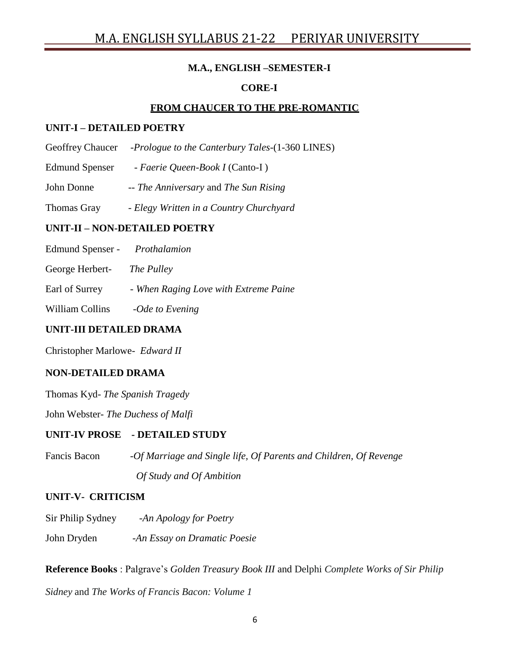## **M.A., ENGLISH –SEMESTER-I**

## **CORE-I**

## **FROM CHAUCER TO THE PRE-ROMANTIC**

#### **UNIT-I – DETAILED POETRY**

- Geoffrey Chaucer -*Prologue to the Canterbury Tales-*(1-360 LINES)
- Edmund Spenser *Faerie Queen-Book I* (Canto-I )
- John Donne -- *The Anniversary* and *The Sun Rising*
- Thomas Gray *Elegy Written in a Country Churchyard*

#### **UNIT-II – NON-DETAILED POETRY**

- Edmund Spenser *Prothalamion*
- George Herbert- *The Pulley*
- Earl of Surrey *When Raging Love with Extreme Paine*
- William Collins -*Ode to Evening*

#### **UNIT-III DETAILED DRAMA**

Christopher Marlowe- *Edward II*

#### **NON-DETAILED DRAMA**

Thomas Kyd- *The Spanish Tragedy*

John Webster- *The Duchess of Malfi*

#### **UNIT-IV PROSE - DETAILED STUDY**

Fancis Bacon -*Of Marriage and Single life, Of Parents and Children, Of Revenge Of Study and Of Ambition*

#### **UNIT-V- CRITICISM**

Sir Philip Sydney -*An Apology for Poetry* John Dryden -*An Essay on Dramatic Poesie*

**Reference Books** : Palgrave"s *Golden Treasury Book III* and Delphi *Complete Works of Sir Philip*

*Sidney* and *The Works of Francis Bacon: Volume 1*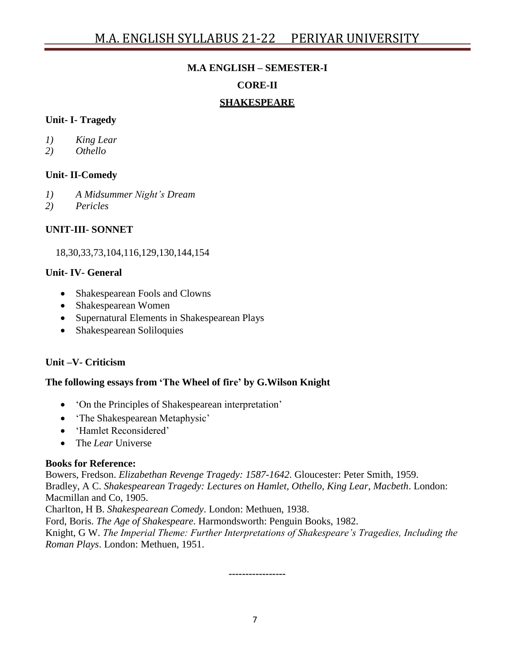#### **M.A ENGLISH – SEMESTER-I**

#### **CORE-II**

#### **SHAKESPEARE**

#### **Unit- I- Tragedy**

- *1) King Lear*
- *2) Othello*

### **Unit- II-Comedy**

- *1) A Midsummer Night's Dream*
- *2) Pericles*

### **UNIT-III- SONNET**

18,30,33,73,104,116,129,130,144,154

#### **Unit- IV- General**

- Shakespearean Fools and Clowns
- Shakespearean Women
- Supernatural Elements in Shakespearean Plays
- Shakespearean Soliloquies

#### **Unit –V- Criticism**

#### **The following essays from 'The Wheel of fire' by G.Wilson Knight**

- 'On the Principles of Shakespearean interpretation'
- The Shakespearean Metaphysic'
- 'Hamlet Reconsidered'
- The *Lear* Universe

#### **Books for Reference:**

Bowers, Fredson. *Elizabethan Revenge Tragedy: 1587-1642*. Gloucester: Peter Smith, 1959. Bradley, A C. *Shakespearean Tragedy: Lectures on Hamlet, Othello, King Lear, Macbeth*. London: Macmillan and Co, 1905.

Charlton, H B. *Shakespearean Comedy*. London: Methuen, 1938.

Ford, Boris. *The Age of Shakespeare*. Harmondsworth: Penguin Books, 1982.

Knight, G W. *The Imperial Theme: Further Interpretations of Shakespeare's Tragedies, Including the Roman Plays*. London: Methuen, 1951.

**-----------------**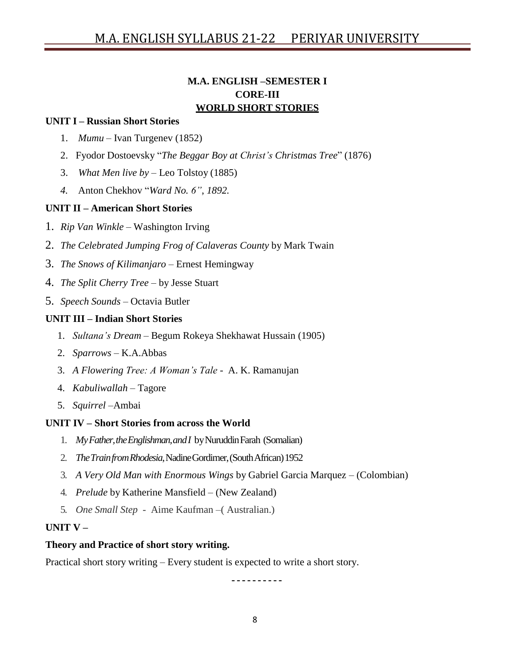## **M.A. ENGLISH –SEMESTER I CORE-III WORLD SHORT STORIES**

#### **UNIT I – Russian Short Stories**

- 1. *Mumu* Ivan Turgenev (1852)
- 2. Fyodor Dostoevsky "*The Beggar Boy at Christ's Christmas Tree*" (1876)
- 3. *What Men live by* Leo Tolstoy (1885)
- *4.* Anton Chekhov "*Ward No. 6"*, *1892.*

#### **UNIT II – American Short Stories**

- 1. *Rip Van Winkle* Washington Irving
- 2. *The Celebrated Jumping Frog of Calaveras County* by Mark Twain
- 3. *The Snows of Kilimanjaro*  Ernest Hemingway
- 4. *The Split Cherry Tree*  by [Jesse Stuart](https://americanliterature.com/author/jesse-stuart)
- 5. *Speech Sounds* Octavia Butler

#### **UNIT III – Indian Short Stories**

- 1. *Sultana's Dream* Begum Rokeya Shekhawat Hussain (1905)
- 2. *Sparrows* K.A.Abbas
- 3. *A Flowering Tree: A Woman's Tale* A. K. Ramanujan
- 4. *Kabuliwallah* Tagore
- 5. *Squirrel* –Ambai

#### **UNIT IV – Short Stories from across the World**

- 1. *MyFather,theEnglishman,andI* byNuruddinFarah (Somalian)
- 2. *TheTrainfromRhodesia*,NadineGordimer,(SouthAfrican)1952
- 3. *A Very Old Man with Enormous Wings* by Gabriel Garcia Marquez (Colombian)
- 4. *Prelude* by Katherine Mansfield (New Zealand)
- 5. *One Small Step* Aime Kaufman –( Australian.)

#### **UNIT V –**

#### **Theory and Practice of short story writing.**

Practical short story writing – Every student is expected to write a short story.

<u>----------</u>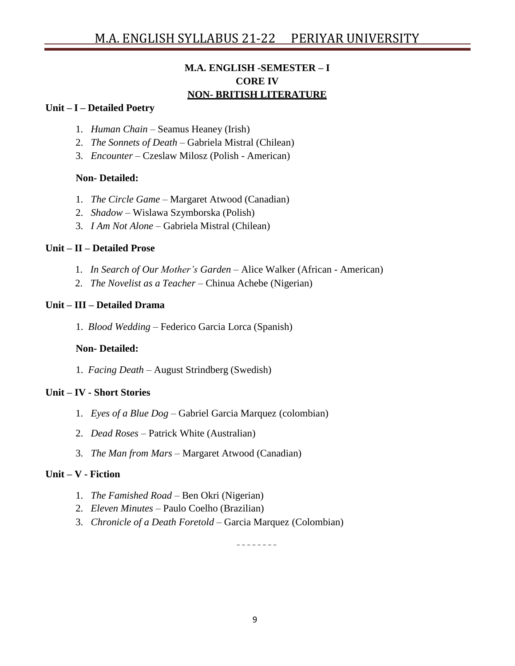## **M.A. ENGLISH -SEMESTER – I CORE IV NON- BRITISH LITERATURE**

#### **Unit – I – Detailed Poetry**

- 1. *Human Chain* Seamus Heaney (Irish)
- 2. *The Sonnets of Death*  Gabriela Mistral (Chilean)
- 3. *Encounter* Czeslaw Milosz (Polish American)

#### **Non- Detailed:**

- 1. *The Circle Game* Margaret Atwood (Canadian)
- 2. *Shadow* Wislawa Szymborska (Polish)
- 3. *I Am Not Alone* Gabriela Mistral (Chilean)

#### **Unit – II – Detailed Prose**

- 1. *In Search of Our Mother's Garden*  Alice Walker (African American)
- 2. *The Novelist as a Teacher* Chinua Achebe (Nigerian)

#### **Unit – III – Detailed Drama**

1. *Blood Wedding* – Federico Garcia Lorca (Spanish)

#### **Non- Detailed:**

1. *Facing Death* – August Strindberg (Swedish)

#### **Unit – IV - Short Stories**

- 1. *Eyes of a Blue Dog* Gabriel Garcia Marquez (colombian)
- 2. *Dead Roses* Patrick White (Australian)
- 3. *The Man from Mars*  Margaret Atwood (Canadian)

#### **Unit – V - Fiction**

- 1. *The Famished Road* Ben Okri (Nigerian)
- 2. *Eleven Minutes* Paulo Coelho (Brazilian)
- 3. *Chronicle of a Death Foretold*  Garcia Marquez (Colombian)

<u> - - - - - - - -</u>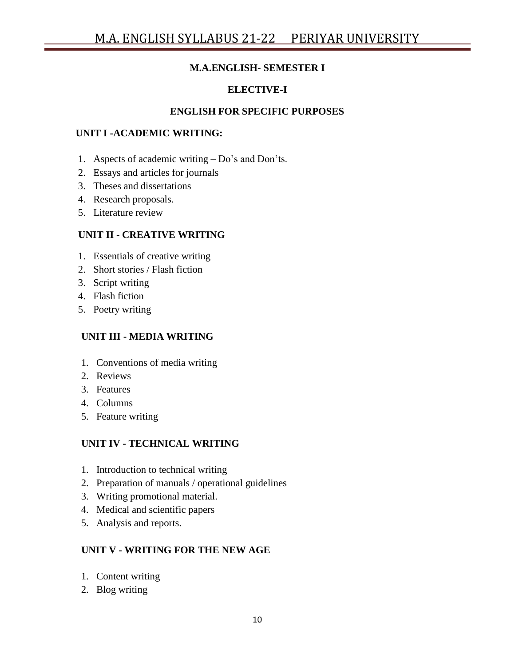## **M.A.ENGLISH- SEMESTER I**

## **ELECTIVE-I**

#### **ENGLISH FOR SPECIFIC PURPOSES**

#### **UNIT I -ACADEMIC WRITING:**

- 1. Aspects of academic writing Do's and Don'ts.
- 2. Essays and articles for journals
- 3. Theses and dissertations
- 4. Research proposals.
- 5. Literature review

#### **UNIT II - CREATIVE WRITING**

- 1. Essentials of creative writing
- 2. Short stories / Flash fiction
- 3. Script writing
- 4. Flash fiction
- 5. Poetry writing

#### **UNIT III - MEDIA WRITING**

- 1. Conventions of media writing
- 2. Reviews
- 3. Features
- 4. Columns
- 5. Feature writing

#### **UNIT IV - TECHNICAL WRITING**

- 1. Introduction to technical writing
- 2. Preparation of manuals / operational guidelines
- 3. Writing promotional material.
- 4. Medical and scientific papers
- 5. Analysis and reports.

#### **UNIT V - WRITING FOR THE NEW AGE**

- 1. Content writing
- 2. Blog writing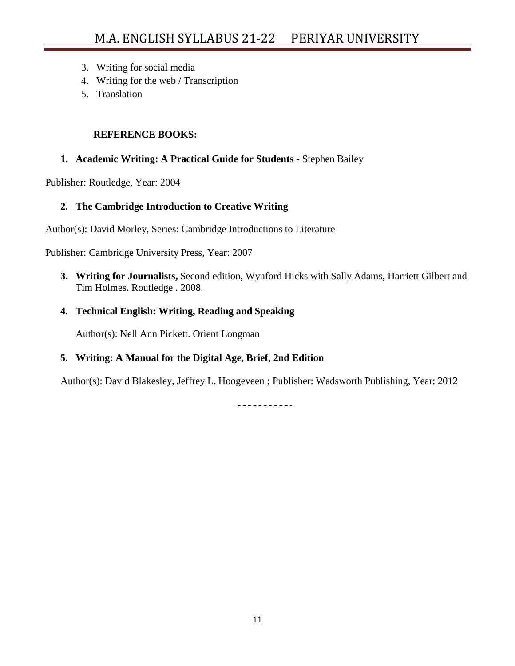- 3. Writing for social media
- 4. Writing for the web / Transcription
- 5. Translation

#### **REFERENCE BOOKS:**

### **1. Academic Writing: A Practical Guide for Students -** Stephen Bailey

Publisher: Routledge, Year: 2004

## **2. The Cambridge Introduction to Creative Writing**

Author(s): David Morley, Series: Cambridge Introductions to Literature

Publisher: Cambridge University Press, Year: 2007

**3. Writing for Journalists,** Second edition, Wynford Hicks with Sally Adams, Harriett Gilbert and Tim Holmes. Routledge . 2008.

## **4. Technical English: Writing, Reading and Speaking**

Author(s): Nell Ann Pickett. Orient Longman

## **5. Writing: A Manual for the Digital Age, Brief, 2nd Edition**

Author(s): David Blakesley, Jeffrey L. Hoogeveen ; Publisher: Wadsworth Publishing, Year: 2012

<u> - - - - - - - - - - -</u>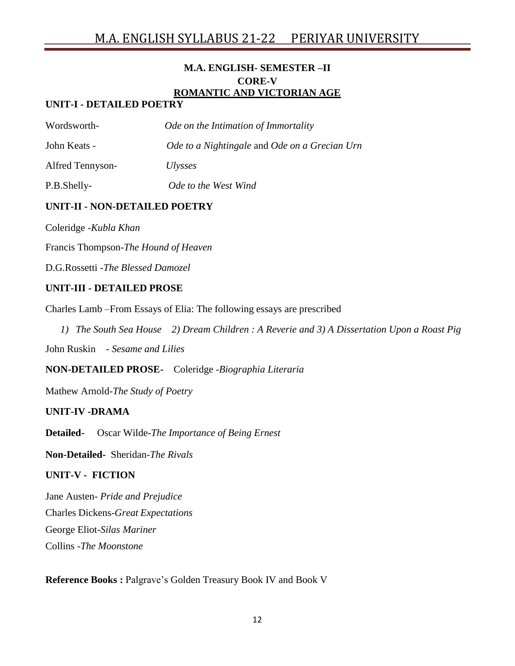## **M.A. ENGLISH- SEMESTER –II CORE-V ROMANTIC AND VICTORIAN AGE**

### **UNIT-I - DETAILED POETRY**

| Wordsworth-             | Ode on the Intimation of Immortality          |
|-------------------------|-----------------------------------------------|
| John Keats -            | Ode to a Nightingale and Ode on a Grecian Urn |
| <b>Alfred Tennyson-</b> | <i>Ulysses</i>                                |
| P.B.Shelly-             | Ode to the West Wind                          |

### **UNIT-II - NON-DETAILED POETRY**

Coleridge -*Kubla Khan*

Francis Thompson-*The Hound of Heaven*

D.G.Rossetti -*The Blessed Damozel*

#### **UNIT-III - DETAILED PROSE**

Charles Lamb –From Essays of Elia: The following essays are prescribed

*1) The South Sea House 2) Dream Children : A Reverie and 3) A Dissertation Upon a Roast Pig*

John Ruskin - *Sesame and Lilies*

**NON-DETAILED PROSE-** Coleridge -*Biographia Literaria*

Mathew Arnold-*The Study of Poetry*

#### **UNIT-IV -DRAMA**

**Detailed-** Oscar Wilde-*The Importance of Being Ernest*

**Non-Detailed-** Sheridan-*The Rivals*

#### **UNIT-V - FICTION**

Jane Austen- *Pride and Prejudice* Charles Dickens-*Great Expectations* George Eliot-*Silas Mariner* Collins -*The Moonstone*

**Reference Books :** Palgrave"s Golden Treasury Book IV and Book V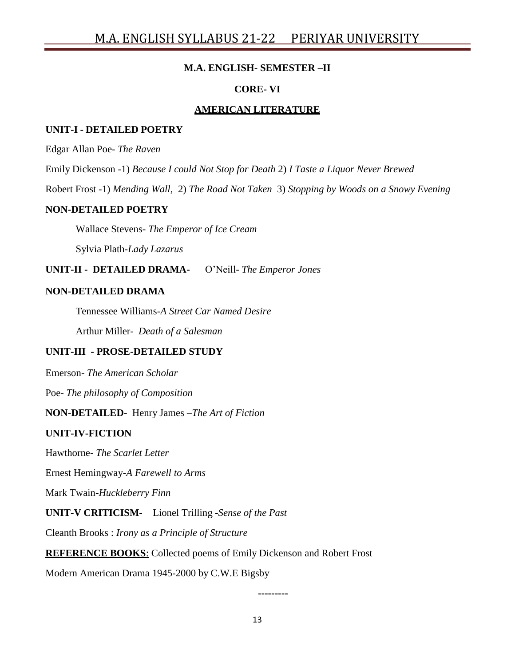#### **M.A. ENGLISH- SEMESTER –II**

#### **CORE- VI**

#### **AMERICAN LITERATURE**

#### **UNIT-I - DETAILED POETRY**

Edgar Allan Poe- *The Raven*

Emily Dickenson -1) *Because I could Not Stop for Death* 2) *I Taste a Liquor Never Brewed*

Robert Frost -1) *Mending Wall*, 2) *The Road Not Taken* 3) *Stopping by Woods on a Snowy Evening*

#### **NON-DETAILED POETRY**

Wallace Stevens- *The Emperor of Ice Cream*

Sylvia Plath-*Lady Lazarus*

**UNIT-II - DETAILED DRAMA-** O"Neill- *The Emperor Jones*

#### **NON-DETAILED DRAMA**

Tennessee Williams-*A Street Car Named Desire*

Arthur Miller- *Death of a Salesman*

#### **UNIT-III - PROSE-DETAILED STUDY**

Emerson- *The American Scholar*

Poe- *The philosophy of Composition*

#### **NON-DETAILED-** Henry James –*The Art of Fiction*

#### **UNIT-IV-FICTION**

Hawthorne- *The Scarlet Letter*

Ernest Hemingway-*A Farewell to Arms*

Mark Twain-*Huckleberry Finn*

**UNIT-V CRITICISM-** Lionel Trilling -*Sense of the Past*

Cleanth Brooks : *Irony as a Principle of Structure*

**REFERENCE BOOKS**: Collected poems of Emily Dickenson and Robert Frost

Modern American Drama 1945-2000 by C.W.E Bigsby

13

**---------**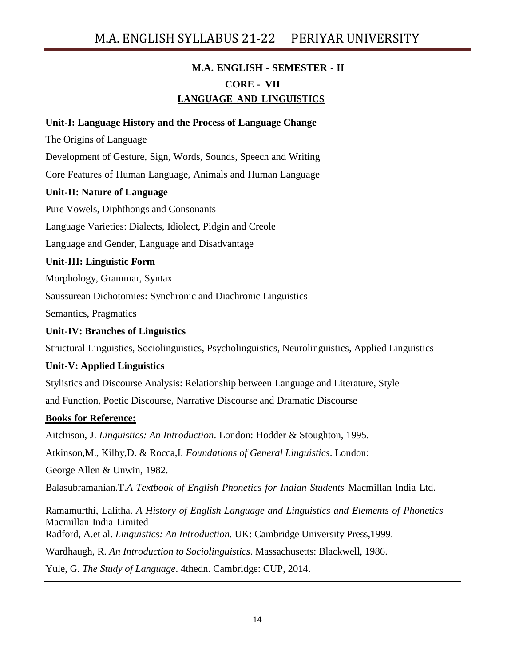## **M.A. ENGLISH - SEMESTER - II CORE - VII LANGUAGE AND LINGUISTICS**

#### **Unit-I: Language History and the Process of Language Change**

The Origins of Language

Development of Gesture, Sign, Words, Sounds, Speech and Writing

Core Features of Human Language, Animals and Human Language

#### **Unit-II: Nature of Language**

Pure Vowels, Diphthongs and Consonants

Language Varieties: Dialects, Idiolect, Pidgin and Creole

Language and Gender, Language and Disadvantage

#### **Unit-III: Linguistic Form**

Morphology, Grammar, Syntax

Saussurean Dichotomies: Synchronic and Diachronic Linguistics

Semantics, Pragmatics

#### **Unit-IV: Branches of Linguistics**

Structural Linguistics, Sociolinguistics, Psycholinguistics, Neurolinguistics, Applied Linguistics

#### **Unit-V: Applied Linguistics**

Stylistics and Discourse Analysis: Relationship between Language and Literature, Style and Function, Poetic Discourse, Narrative Discourse and Dramatic Discourse

#### **Books for Reference:**

Aitchison, J. *Linguistics: An Introduction*. London: Hodder & Stoughton, 1995. Atkinson,M., Kilby,D. & Rocca,I. *Foundations of General Linguistics*. London: George Allen & Unwin, 1982. Balasubramanian.T.*A Textbook of English Phonetics for Indian Students* Macmillan India Ltd. Ramamurthi, Lalitha. *A History of English Language and Linguistics and Elements of Phonetics* Macmillan India Limited Radford, A.et al. *Linguistics: An Introduction.* UK: Cambridge University Press,1999. Wardhaugh, R. *An Introduction to Sociolinguistics*. Massachusetts: Blackwell, 1986.

Yule, G. *The Study of Language*. 4thedn. Cambridge: CUP, 2014.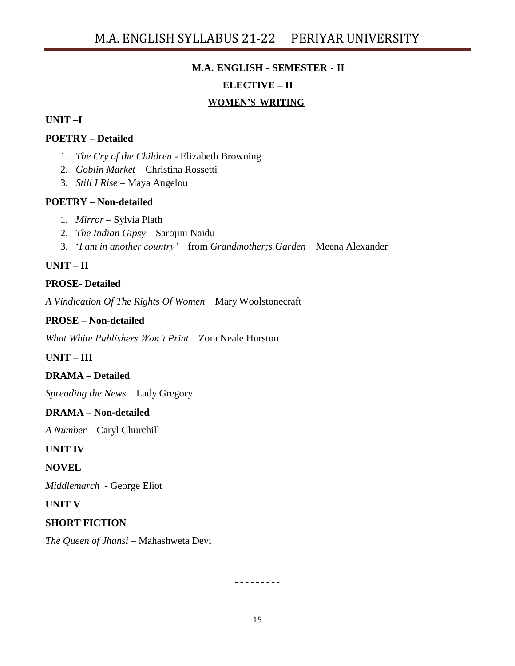# **M.A. ENGLISH - SEMESTER - II**

#### **ELECTIVE – II**

#### **WOMEN'S WRITING**

#### **UNIT –I**

#### **POETRY – Detailed**

- 1. *The Cry of the Children* Elizabeth Browning
- 2. *Goblin Market*  Christina Rossetti
- 3. *Still I Rise* Maya Angelou

#### **POETRY – Non-detailed**

- 1. *Mirror* Sylvia Plath
- 2. *The Indian Gipsy* Sarojini Naidu
- 3. "*I am in another country'* from *Grandmother;s Garden –* Meena Alexander

## **UNIT – II**

#### **PROSE- Detailed**

*A Vindication Of The Rights Of Women* – Mary Woolstonecraft

#### **PROSE – Non-detailed**

*What White Publishers Won't Print* – Zora Neale Hurston

### **UNIT – III**

#### **DRAMA – Detailed**

*Spreading the News* – Lady Gregory

#### **DRAMA – Non-detailed**

*A Number* – Caryl Churchill

## **UNIT IV**

## **NOVEL**

*Middlemarch* - George Eliot

#### **UNIT V**

#### **SHORT FICTION**

*The Queen of Jhansi* – Mahashweta Devi

 $- - - - - - - -$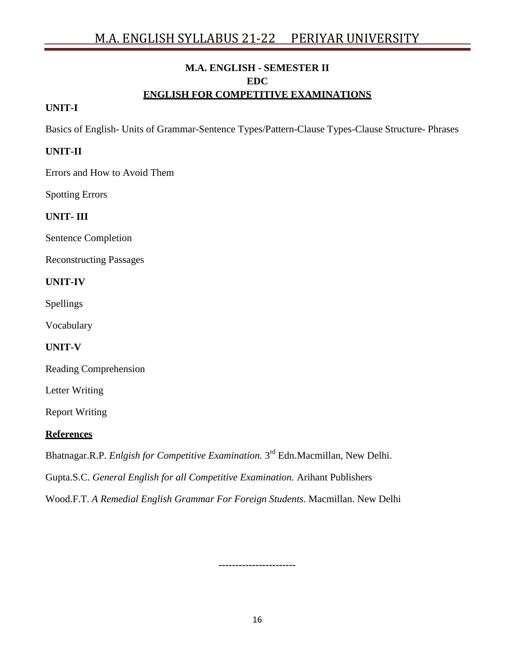## **M.A. ENGLISH - SEMESTER II EDC ENGLISH FOR COMPETITIVE EXAMINATIONS**

## **UNIT-I**

Basics of English- Units of Grammar-Sentence Types/Pattern-Clause Types-Clause Structure- Phrases

#### **UNIT-II**

Errors and How to Avoid Them

Spotting Errors

#### **UNIT- III**

Sentence Completion

Reconstructing Passages

#### **UNIT-IV**

Spellings

Vocabulary

**UNIT-V**

Reading Comprehension

Letter Writing

Report Writing

#### **References**

Bhatnagar.R.P. *Enlgish for Competitive Examination.* 3 rd Edn.Macmillan, New Delhi.

Gupta.S.C. *General English for all Competitive Examination.* Arihant Publishers

Wood.F.T. *A Remedial English Grammar For Foreign Students.* Macmillan. New Delhi

16

**-----------------------**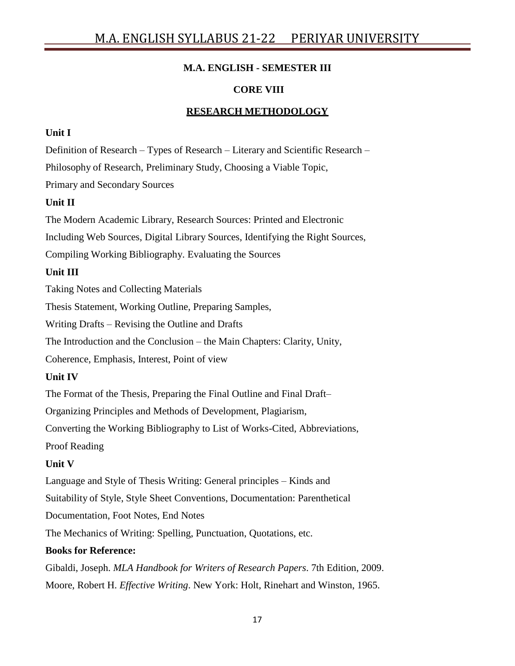## **M.A. ENGLISH - SEMESTER III**

## **CORE VIII**

## **RESEARCH METHODOLOGY**

### **Unit I**

Definition of Research – Types of Research – Literary and Scientific Research – Philosophy of Research, Preliminary Study, Choosing a Viable Topic, Primary and Secondary Sources

## **Unit II**

The Modern Academic Library, Research Sources: Printed and Electronic Including Web Sources, Digital Library Sources, Identifying the Right Sources, Compiling Working Bibliography. Evaluating the Sources

## **Unit III**

Taking Notes and Collecting Materials

Thesis Statement, Working Outline, Preparing Samples,

Writing Drafts – Revising the Outline and Drafts

The Introduction and the Conclusion – the Main Chapters: Clarity, Unity,

Coherence, Emphasis, Interest, Point of view

## **Unit IV**

The Format of the Thesis, Preparing the Final Outline and Final Draft–

Organizing Principles and Methods of Development, Plagiarism,

Converting the Working Bibliography to List of Works-Cited, Abbreviations,

Proof Reading

## **Unit V**

Language and Style of Thesis Writing: General principles – Kinds and

Suitability of Style, Style Sheet Conventions, Documentation: Parenthetical

Documentation, Foot Notes, End Notes

The Mechanics of Writing: Spelling, Punctuation, Quotations, etc.

## **Books for Reference:**

Gibaldi, Joseph. *MLA Handbook for Writers of Research Papers*. 7th Edition, 2009. Moore, Robert H. *Effective Writing*. New York: Holt, Rinehart and Winston, 1965.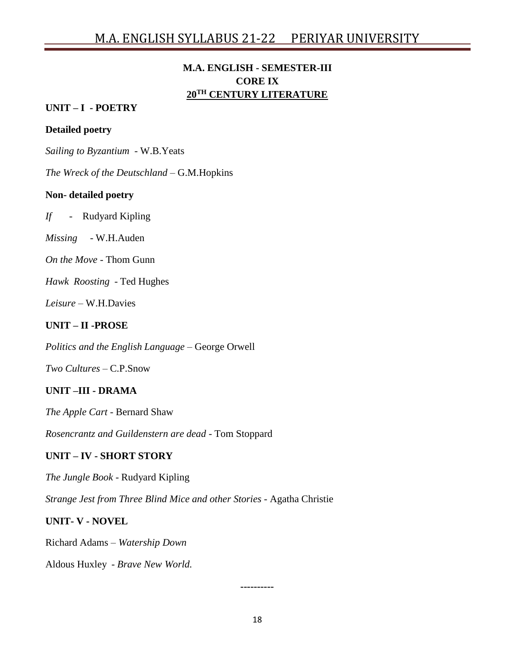## **M.A. ENGLISH - SEMESTER-III CORE IX 20TH CENTURY LITERATURE**

#### **UNIT – I - POETRY**

#### **Detailed poetry**

*Sailing to Byzantium* - W.B.Yeats

*The Wreck of the Deutschland* – G.M.Hopkins

#### **Non- detailed poetry**

*If* - Rudyard Kipling

*Missing* - W.H.Auden

*On the Move* - Thom Gunn

*Hawk Roosting* - Ted Hughes

*Leisure* – W.H.Davies

#### **UNIT – II -PROSE**

*Politics and the English Language* – George Orwell

*Two Cultures* – C.P.Snow

## **UNIT –III - DRAMA**

*The Apple Cart* - Bernard Shaw

*Rosencrantz and Guildenstern are dead* - Tom Stoppard

#### **UNIT – IV - SHORT STORY**

*The Jungle Book* - Rudyard Kipling

*Strange Jest from Three Blind Mice and other Stories* - Agatha Christie

#### **UNIT- V - NOVEL**

Richard Adams – *Watership Down*

Aldous Huxley - *Brave New World.*

**----------**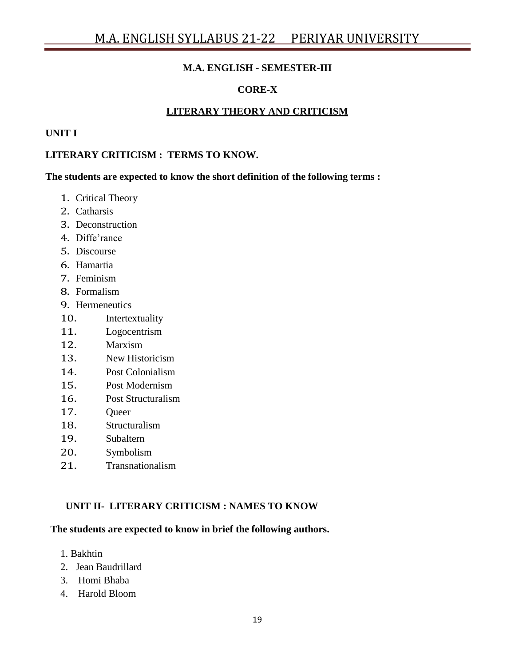#### **M.A. ENGLISH - SEMESTER-III**

## **CORE-X**

#### **LITERARY THEORY AND CRITICISM**

#### **UNIT I**

#### **LITERARY CRITICISM : TERMS TO KNOW.**

**The students are expected to know the short definition of the following terms :**

- 1. Critical Theory
- 2. Catharsis
- 3. Deconstruction
- 4. Diffe'rance
- 5. Discourse
- 6. Hamartia
- 7. Feminism
- 8. Formalism
- 9. Hermeneutics
- 10. Intertextuality
- 11. Logocentrism
- 12. Marxism
- 13. New Historicism
- 14. Post Colonialism
- 15. Post Modernism
- 16. Post Structuralism
- 17. Queer
- 18. Structuralism
- 19. Subaltern
- 20. Symbolism
- 21. Transnationalism

#### **UNIT II- LITERARY CRITICISM : NAMES TO KNOW**

#### **The students are expected to know in brief the following authors.**

- 1. Bakhtin
- 2. Jean Baudrillard
- 3. Homi Bhaba
- 4. Harold Bloom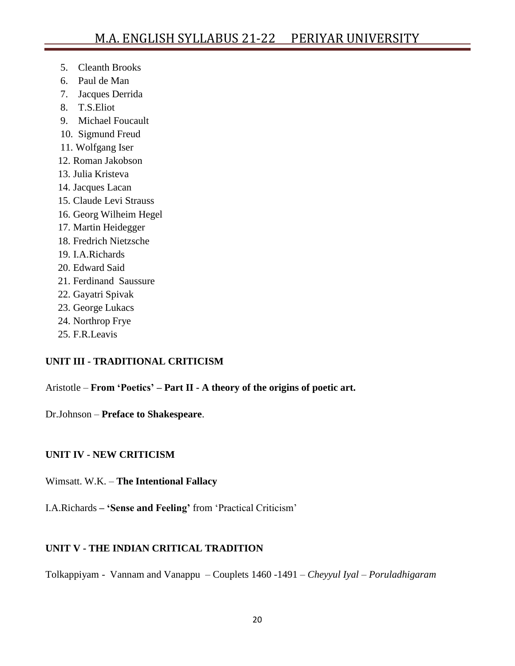- 5. Cleanth Brooks
- 6. Paul de Man
- 7. Jacques Derrida
- 8. T.S.Eliot
- 9. Michael Foucault
- 10. Sigmund Freud
- 11. Wolfgang Iser
- 12. Roman Jakobson
- 13. Julia Kristeva
- 14. Jacques Lacan
- 15. Claude Levi Strauss
- 16. Georg Wilheim Hegel
- 17. Martin Heidegger
- 18. Fredrich Nietzsche
- 19. I.A.Richards
- 20. Edward Said
- 21. Ferdinand Saussure
- 22. Gayatri Spivak
- 23. George Lukacs
- 24. Northrop Frye
- 25. F.R.Leavis

## **UNIT III - TRADITIONAL CRITICISM**

Aristotle – **From 'Poetics' – Part II - A theory of the origins of poetic art.**

Dr.Johnson – **Preface to Shakespeare**.

## **UNIT IV - NEW CRITICISM**

## Wimsatt. W.K. – **The Intentional Fallacy**

I.A.Richards **– 'Sense and Feeling'** from "Practical Criticism"

## **UNIT V - THE INDIAN CRITICAL TRADITION**

Tolkappiyam - Vannam and Vanappu – Couplets 1460 -1491 – *Cheyyul Iyal – Poruladhigaram*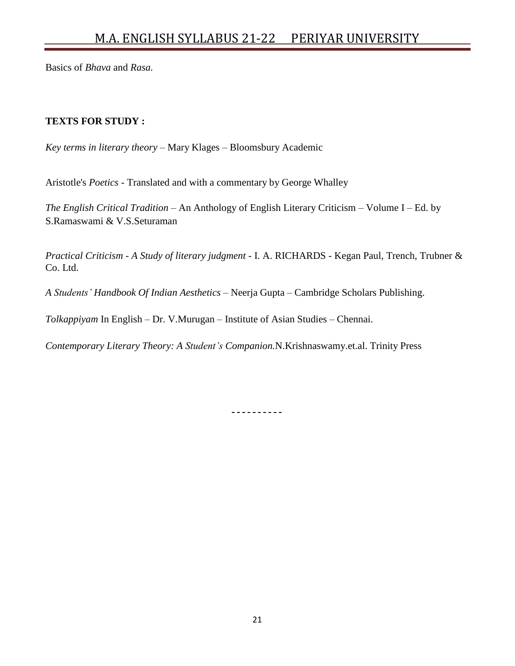Basics of *Bhava* and *Rasa.*

#### **TEXTS FOR STUDY :**

*Key terms in literary theory* – Mary Klages – Bloomsbury Academic

Aristotle's *Poetics -* Translated and with a commentary by George Whalley

*The English Critical Tradition* – An Anthology of English Literary Criticism – Volume I – Ed. by S.Ramaswami & V.S.Seturaman

*Practical Criticism - A Study of literary judgment* - I. A. RICHARDS - Kegan Paul, Trench, Trubner & Co. Ltd.

*A Students' Handbook Of Indian Aesthetics* – Neerja Gupta – Cambridge Scholars Publishing.

*Tolkappiyam* In English – Dr. V.Murugan – Institute of Asian Studies – Chennai.

*Contemporary Literary Theory: A Student's Companion.*N.Krishnaswamy.et.al. Trinity Press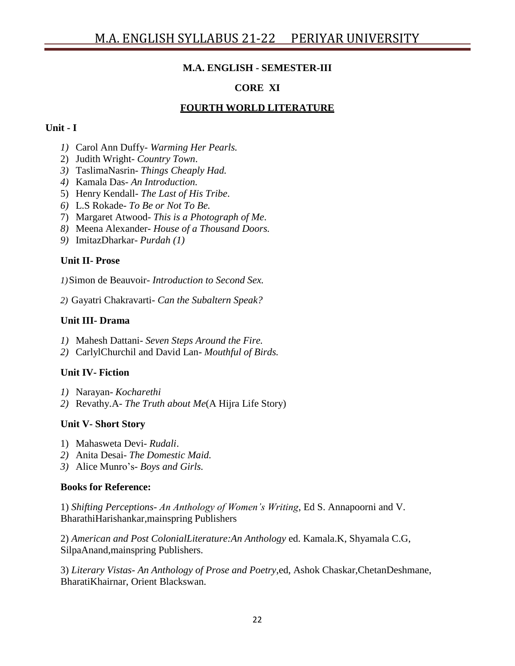## **M.A. ENGLISH - SEMESTER-III**

## **CORE XI**

## **FOURTH WORLD LITERATURE**

#### **Unit - I**

- *1)* Carol Ann Duffy- *Warming Her Pearls.*
- 2) Judith Wright- *Country Town*.
- *3)* TaslimaNasrin- *Things Cheaply Had.*
- *4)* Kamala Das- *An Introduction.*
- 5) Henry Kendall- *The Last of His Tribe*.
- *6)* L.S Rokade- *To Be or Not To Be.*
- 7) Margaret Atwood- *This is a Photograph of Me*.
- *8)* Meena Alexander- *House of a Thousand Doors.*
- *9)* ImitazDharkar- *Purdah (1)*

## **Unit II- Prose**

*1)*Simon de Beauvoir- *Introduction to Second Sex.*

*2)* Gayatri Chakravarti- *Can the Subaltern Speak?*

## **Unit III- Drama**

- *1)* Mahesh Dattani- *Seven Steps Around the Fire.*
- *2)* CarlylChurchil and David Lan- *Mouthful of Birds.*

## **Unit IV- Fiction**

- *1)* Narayan- *Kocharethi*
- *2)* Revathy.A- *The Truth about Me*(A Hijra Life Story)

## **Unit V- Short Story**

- 1) Mahasweta Devi*- Rudali*.
- *2)* Anita Desai- *The Domestic Maid.*
- *3)* Alice Munro"s- *Boys and Girls.*

## **Books for Reference:**

1) *Shifting Perceptions- An Anthology of Women's Writing*, Ed S. Annapoorni and V. BharathiHarishankar,mainspring Publishers

2) *American and Post ColonialLiterature:An Anthology* ed. Kamala.K, Shyamala C.G, SilpaAnand,mainspring Publishers.

3) *Literary Vistas- An Anthology of Prose and Poetry*,ed, Ashok Chaskar,ChetanDeshmane, BharatiKhairnar, Orient Blackswan.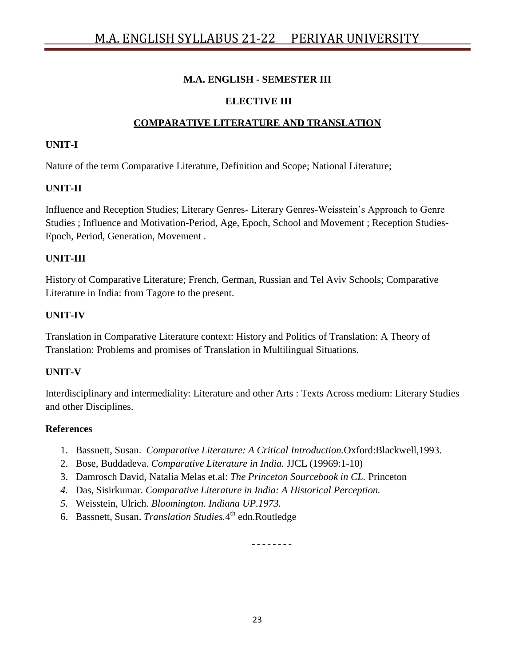### **M.A. ENGLISH - SEMESTER III**

### **ELECTIVE III**

## **COMPARATIVE LITERATURE AND TRANSLATION**

#### **UNIT-I**

Nature of the term Comparative Literature, Definition and Scope; National Literature;

## **UNIT-II**

Influence and Reception Studies; Literary Genres- Literary Genres-Weisstein"s Approach to Genre Studies ; Influence and Motivation-Period, Age, Epoch, School and Movement ; Reception Studies-Epoch, Period, Generation, Movement .

### **UNIT-III**

History of Comparative Literature; French, German, Russian and Tel Aviv Schools; Comparative Literature in India: from Tagore to the present.

#### **UNIT-IV**

Translation in Comparative Literature context: History and Politics of Translation: A Theory of Translation: Problems and promises of Translation in Multilingual Situations.

#### **UNIT-V**

Interdisciplinary and intermediality: Literature and other Arts : Texts Across medium: Literary Studies and other Disciplines.

#### **References**

- 1. Bassnett, Susan. *Comparative Literature: A Critical Introduction.*Oxford:Blackwell,1993.
- 2. Bose, Buddadeva. *Comparative Literature in India.* JJCL (19969:1-10)
- 3. Damrosch David, Natalia Melas et.al: *The Princeton Sourcebook in CL.* Princeton
- *4.* Das, Sisirkumar. *Comparative Literature in India: A Historical Perception.*
- *5.* Weisstein, Ulrich. *Bloomington. Indiana UP.1973.*
- 6. Bassnett, Susan. *Translation Studies.*4 th edn.Routledge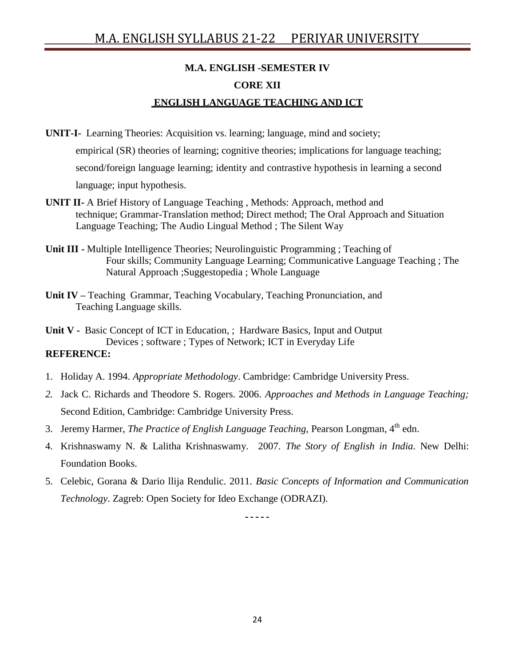## **M.A. ENGLISH -SEMESTER IV CORE XII ENGLISH LANGUAGE TEACHING AND ICT**

- **UNIT-I-** Learning Theories: Acquisition vs. learning; language, mind and society; empirical (SR) theories of learning; cognitive theories; implications for language teaching; second/foreign language learning; identity and contrastive hypothesis in learning a second language; input hypothesis.
- **UNIT II-** A Brief History of Language Teaching , Methods: Approach, method and technique; Grammar-Translation method; Direct method; The Oral Approach and Situation Language Teaching; The Audio Lingual Method ; The Silent Way
- **Unit III -** Multiple Intelligence Theories; Neurolinguistic Programming ; Teaching of Four skills; Community Language Learning; Communicative Language Teaching ; The Natural Approach ;Suggestopedia ; Whole Language
- **Unit IV –** Teaching Grammar, Teaching Vocabulary, Teaching Pronunciation, and Teaching Language skills.
- **Unit V -** Basic Concept of ICT in Education, ; Hardware Basics, Input and Output Devices ; software ; Types of Network; ICT in Everyday Life **REFERENCE:**
- 1. Holiday A. 1994. *Appropriate Methodology*. Cambridge: Cambridge University Press.
- *2.* Jack C. Richards and Theodore S. Rogers. 2006. *Approaches and Methods in Language Teaching;* Second Edition, Cambridge: Cambridge University Press.
- 3. Jeremy Harmer, *The Practice of English Language Teaching,* Pearson Longman, 4 th edn.
- 4. Krishnaswamy N. & Lalitha Krishnaswamy. 2007. *The Story of English in India*. New Delhi: Foundation Books.
- 5. Celebic, Gorana & Dario llija Rendulic. 2011. *Basic Concepts of Information and Communication Technology*. Zagreb: Open Society for Ideo Exchange (ODRAZI).

-----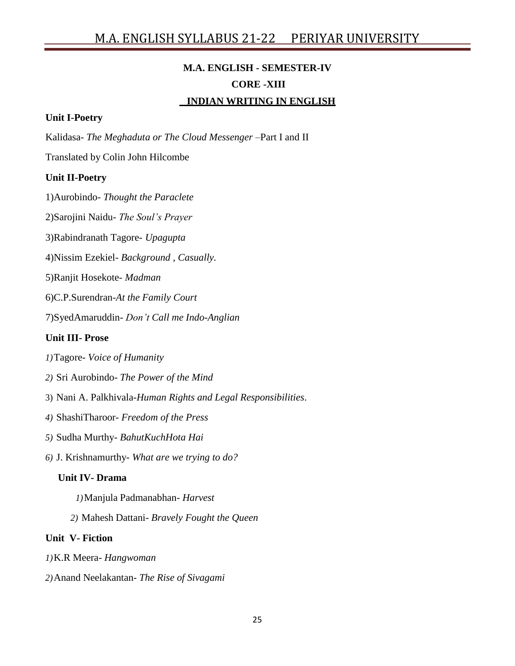## **M.A. ENGLISH - SEMESTER-IV CORE -XIII INDIAN WRITING IN ENGLISH**

#### **Unit I-Poetry**

Kalidasa- *The Meghaduta or The Cloud Messenger* –Part I and II

Translated by Colin John Hilcombe

#### **Unit II-Poetry**

1)Aurobindo- *Thought the Paraclete*

2)Sarojini Naidu- *The Soul's Prayer*

3)Rabindranath Tagore- *Upagupta*

4)Nissim Ezekiel- *Background , Casually.*

5)Ranjit Hosekote*- Madman*

6)C.P.Surendran-*At the Family Court*

7)SyedAmaruddin- *Don't Call me Indo-Anglian*

#### **Unit III- Prose**

- *1)*Tagore- *Voice of Humanity*
- *2)* Sri Aurobindo- *The Power of the Mind*
- 3) Nani A. Palkhivala-*Human Rights and Legal Responsibilities*.
- *4)* ShashiTharoor- *Freedom of the Press*
- *5)* Sudha Murthy- *BahutKuchHota Hai*
- *6)* J. Krishnamurthy- *What are we trying to do?*

#### **Unit IV- Drama**

- *1)*Manjula Padmanabhan- *Harvest*
- *2)* Mahesh Dattani- *Bravely Fought the Queen*

#### **Unit V- Fiction**

- *1)*K.R Meera- *Hangwoman*
- *2)*Anand Neelakantan- *The Rise of Sivagami*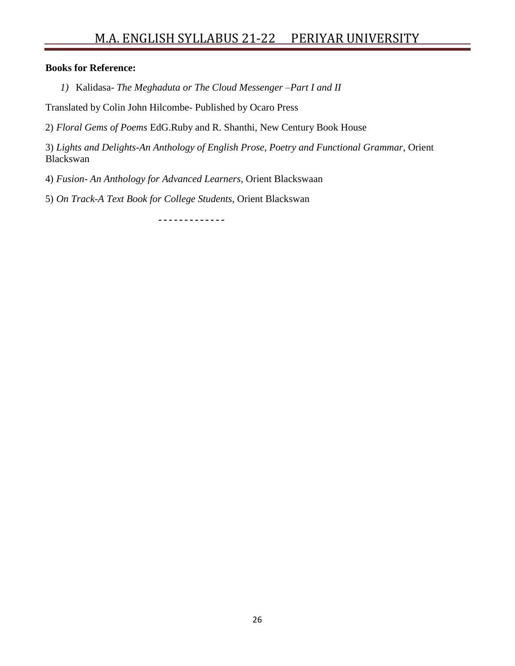# M.A. ENGLISH SYLLABUS 21-22 PERIYAR UNIVERSITY

#### **Books for Reference:**

*1)* Kalidasa- *The Meghaduta or The Cloud Messenger –Part I and II*

Translated by Colin John Hilcombe- Published by Ocaro Press

2) *Floral Gems of Poems* EdG.Ruby and R. Shanthi, New Century Book House

3) *Lights and Delights-An Anthology of English Prose, Poetry and Functional Grammar*, Orient Blackswan

4) *Fusion- An Anthology for Advanced Learners*, Orient Blackswaan

5) *On Track-A Text Book for College Students*, Orient Blackswan

-------------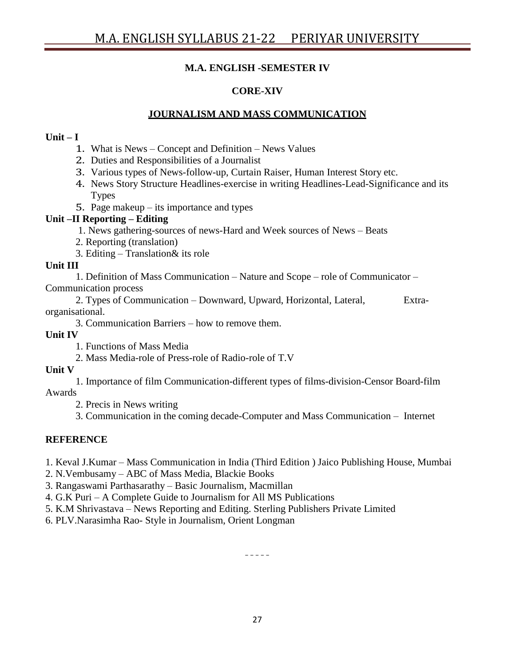## **M.A. ENGLISH -SEMESTER IV**

## **CORE-XIV**

## **JOURNALISM AND MASS COMMUNICATION**

#### **Unit – I**

- 1. What is News Concept and Definition News Values
- 2. Duties and Responsibilities of a Journalist
- 3. Various types of News-follow-up, Curtain Raiser, Human Interest Story etc.
- 4. News Story Structure Headlines-exercise in writing Headlines-Lead-Significance and its Types
- 5. Page makeup its importance and types

#### **Unit –II Reporting – Editing**

- 1. News gathering-sources of news-Hard and Week sources of News Beats
- 2. Reporting (translation)
- 3. Editing Translation& its role

#### **Unit III**

1. Definition of Mass Communication – Nature and Scope – role of Communicator – Communication process

2. Types of Communication – Downward, Upward, Horizontal, Lateral, Extraorganisational.

3. Communication Barriers – how to remove them.

**Unit IV**

1. Functions of Mass Media

2. Mass Media-role of Press-role of Radio-role of T.V

#### **Unit V**

1. Importance of film Communication-different types of films-division-Censor Board-film Awards

2. Precis in News writing

3. Communication in the coming decade-Computer and Mass Communication – Internet

#### **REFERENCE**

1. Keval J.Kumar – Mass Communication in India (Third Edition ) Jaico Publishing House, Mumbai

- 2. N.Vembusamy ABC of Mass Media, Blackie Books
- 3. Rangaswami Parthasarathy Basic Journalism, Macmillan
- 4. G.K Puri A Complete Guide to Journalism for All MS Publications
- 5. K.M Shrivastava News Reporting and Editing. Sterling Publishers Private Limited
- 6. PLV.Narasimha Rao- Style in Journalism, Orient Longman

 $\pm$   $\pm$   $\pm$   $\pm$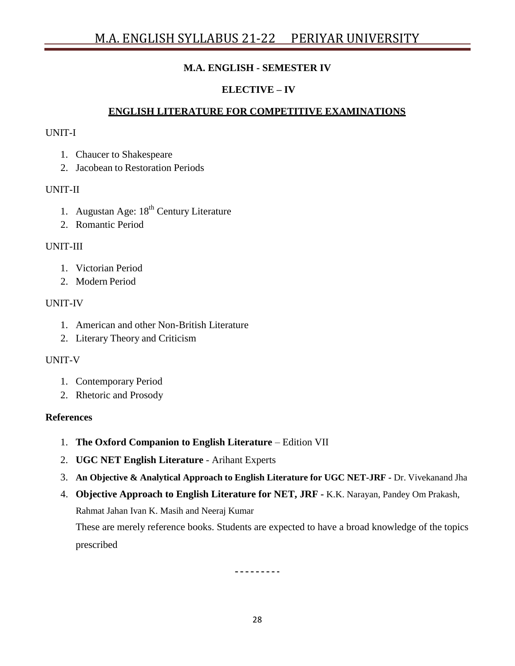## **M.A. ENGLISH - SEMESTER IV**

## **ELECTIVE – IV**

## **ENGLISH LITERATURE FOR COMPETITIVE EXAMINATIONS**

#### UNIT-I

- 1. Chaucer to Shakespeare
- 2. Jacobean to Restoration Periods

#### UNIT-II

- 1. Augustan Age: 18<sup>th</sup> Century Literature
- 2. Romantic Period

#### UNIT-III

- 1. Victorian Period
- 2. Modern Period

#### UNIT-IV

- 1. American and other Non-British Literature
- 2. Literary Theory and Criticism

#### UNIT-V

- 1. Contemporary Period
- 2. Rhetoric and Prosody

#### **References**

- 1. **The Oxford Companion to English Literature** Edition VII
- 2. **UGC NET English Literature** Arihant Experts
- 3. **An Objective & Analytical Approach to English Literature for UGC NET-JRF -** Dr. Vivekanand Jha
- 4. **Objective Approach to English Literature for NET, JRF -** K.K. Narayan, Pandey Om Prakash, Rahmat Jahan Ivan K. Masih and Neeraj Kumar These are merely reference books. Students are expected to have a broad knowledge of the topics prescribed